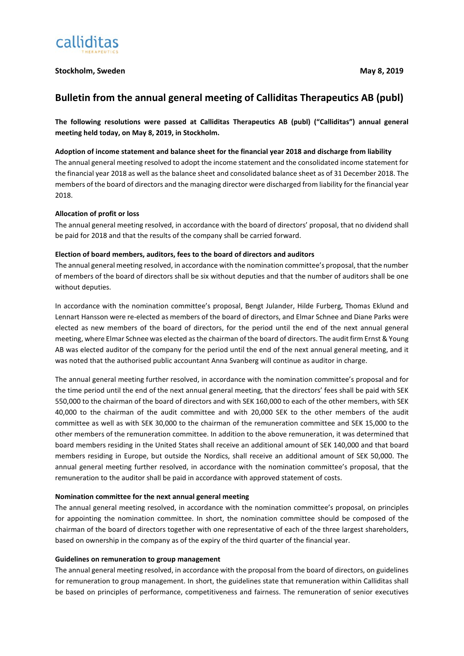

# **Stockholm, Sweden May 8, 2019**

# **Bulletin from the annual general meeting of Calliditas Therapeutics AB (publ)**

**The following resolutions were passed at Calliditas Therapeutics AB (publ) ("Calliditas") annual general meeting held today, on May 8, 2019, in Stockholm.** 

### **Adoption of income statement and balance sheet for the financial year 2018 and discharge from liability**

The annual general meeting resolved to adopt the income statement and the consolidated income statement for the financial year 2018 as well as the balance sheet and consolidated balance sheet as of 31 December 2018. The members of the board of directors and the managing director were discharged from liability for the financial year 2018.

# **Allocation of profit or loss**

The annual general meeting resolved, in accordance with the board of directors' proposal, that no dividend shall be paid for 2018 and that the results of the company shall be carried forward.

### **Election of board members, auditors, fees to the board of directors and auditors**

The annual general meeting resolved, in accordance with the nomination committee's proposal, that the number of members of the board of directors shall be six without deputies and that the number of auditors shall be one without deputies.

In accordance with the nomination committee's proposal, Bengt Julander, Hilde Furberg, Thomas Eklund and Lennart Hansson were re-elected as members of the board of directors, and Elmar Schnee and Diane Parks were elected as new members of the board of directors, for the period until the end of the next annual general meeting, where Elmar Schnee was elected as the chairman of the board of directors. The audit firm Ernst & Young AB was elected auditor of the company for the period until the end of the next annual general meeting, and it was noted that the authorised public accountant Anna Svanberg will continue as auditor in charge.

The annual general meeting further resolved, in accordance with the nomination committee's proposal and for the time period until the end of the next annual general meeting, that the directors' fees shall be paid with SEK 550,000 to the chairman of the board of directors and with SEK 160,000 to each of the other members, with SEK 40,000 to the chairman of the audit committee and with 20,000 SEK to the other members of the audit committee as well as with SEK 30,000 to the chairman of the remuneration committee and SEK 15,000 to the other members of the remuneration committee. In addition to the above remuneration, it was determined that board members residing in the United States shall receive an additional amount of SEK 140,000 and that board members residing in Europe, but outside the Nordics, shall receive an additional amount of SEK 50,000. The annual general meeting further resolved, in accordance with the nomination committee's proposal, that the remuneration to the auditor shall be paid in accordance with approved statement of costs.

### **Nomination committee for the next annual general meeting**

The annual general meeting resolved, in accordance with the nomination committee's proposal, on principles for appointing the nomination committee. In short, the nomination committee should be composed of the chairman of the board of directors together with one representative of each of the three largest shareholders, based on ownership in the company as of the expiry of the third quarter of the financial year.

### **Guidelines on remuneration to group management**

The annual general meeting resolved, in accordance with the proposal from the board of directors, on guidelines for remuneration to group management. In short, the guidelines state that remuneration within Calliditas shall be based on principles of performance, competitiveness and fairness. The remuneration of senior executives